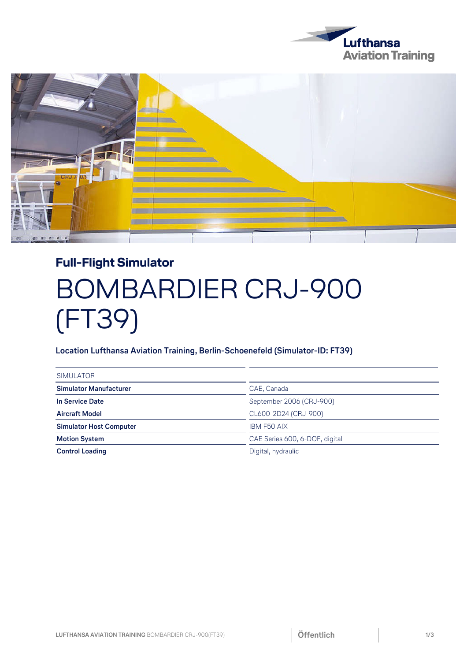



## **Full-Flight Simulator**  BOMBARDIER CRJ-900 (FT39)

## **Location Lufthansa Aviation Training, Berlin-Schoenefeld (Simulator-ID: FT39)**

| <b>SIMULATOR</b>               |                                |
|--------------------------------|--------------------------------|
| <b>Simulator Manufacturer</b>  | CAE, Canada                    |
| In Service Date                | September 2006 (CRJ-900)       |
| <b>Aircraft Model</b>          | CL600-2D24 (CRJ-900)           |
| <b>Simulator Host Computer</b> | <b>IBM F50 AIX</b>             |
| <b>Motion System</b>           | CAE Series 600, 6-DOF, digital |
| <b>Control Loading</b>         | Digital, hydraulic             |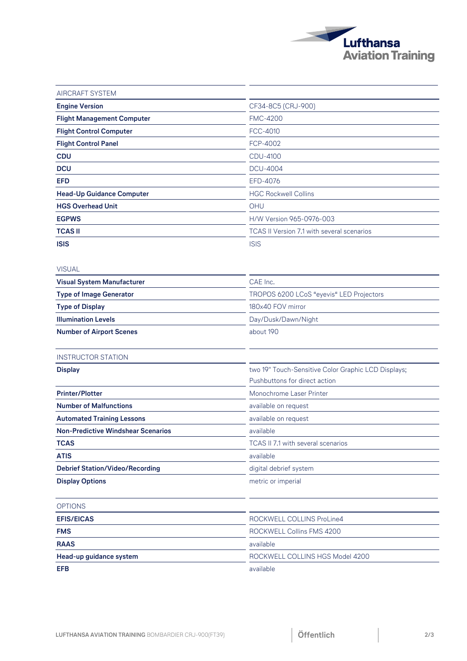

| <b>AIRCRAFT SYSTEM</b>                    |                                                     |
|-------------------------------------------|-----------------------------------------------------|
| <b>Engine Version</b>                     | CF34-8C5 (CRJ-900)                                  |
| <b>Flight Management Computer</b>         | <b>FMC-4200</b>                                     |
| <b>Flight Control Computer</b>            | <b>FCC-4010</b>                                     |
| <b>Flight Control Panel</b>               | FCP-4002                                            |
| <b>CDU</b>                                | <b>CDU-4100</b>                                     |
| <b>DCU</b>                                | <b>DCU-4004</b>                                     |
| <b>EFD</b>                                | EFD-4076                                            |
| <b>Head-Up Guidance Computer</b>          | <b>HGC Rockwell Collins</b>                         |
| <b>HGS Overhead Unit</b>                  | OHU                                                 |
| <b>EGPWS</b>                              | H/W Version 965-0976-003                            |
| <b>TCAS II</b>                            | TCAS II Version 7.1 with several scenarios          |
| <b>ISIS</b>                               | <b>ISIS</b>                                         |
| <b>VISUAL</b>                             |                                                     |
| <b>Visual System Manufacturer</b>         | CAE Inc.                                            |
| <b>Type of Image Generator</b>            | TROPOS 6200 LCoS "eyevis" LED Projectors            |
| <b>Type of Display</b>                    | 180x40 FOV mirror                                   |
| <b>Illumination Levels</b>                | Day/Dusk/Dawn/Night                                 |
| <b>Number of Airport Scenes</b>           | about 190                                           |
| <b>INSTRUCTOR STATION</b>                 |                                                     |
| <b>Display</b>                            | two 19" Touch-Sensitive Color Graphic LCD Displays; |
|                                           | Pushbuttons for direct action                       |
| <b>Printer/Plotter</b>                    | Monochrome Laser Printer                            |
| <b>Number of Malfunctions</b>             | available on request                                |
| <b>Automated Training Lessons</b>         | available on request                                |
| <b>Non-Predictive Windshear Scenarios</b> | available                                           |
| <b>TCAS</b>                               | TCAS II 7.1 with several scenarios                  |
| <b>ATIS</b>                               | available                                           |
| <b>Debrief Station/Video/Recording</b>    | digital debrief system                              |
| <b>Display Options</b>                    | metric or imperial                                  |
| <b>OPTIONS</b>                            |                                                     |
| <b>EFIS/EICAS</b>                         | ROCKWELL COLLINS ProLine4                           |
| <b>FMS</b>                                | ROCKWELL Collins FMS 4200                           |
| <b>RAAS</b>                               | available                                           |
| Head-up guidance system                   | ROCKWELL COLLINS HGS Model 4200                     |
| <b>EFB</b>                                | available                                           |